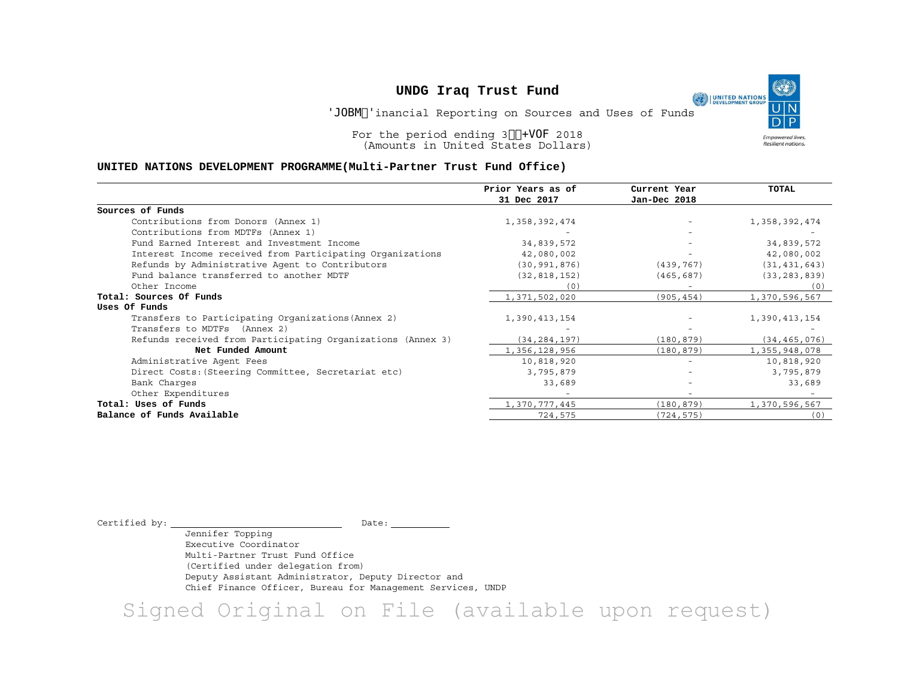Final Financial Reporting on Sources and Uses of Funds

O.

**Empowered lives** Resilient nations.

UNITED NATIONS

For the period ending 30 June 2018 (Amounts in United States Dollars)

#### **UNITED NATIONS DEVELOPMENT PROGRAMME(Multi-Partner Trust Fund Office)**

|                                                             | Prior Years as of | Current Year | TOTAL          |
|-------------------------------------------------------------|-------------------|--------------|----------------|
|                                                             | 31 Dec 2017       | Jan-Dec 2018 |                |
| Sources of Funds                                            |                   |              |                |
| Contributions from Donors (Annex 1)                         | 1,358,392,474     |              | 1,358,392,474  |
| Contributions from MDTFs (Annex 1)                          |                   |              |                |
| Fund Earned Interest and Investment Income                  | 34,839,572        |              | 34,839,572     |
| Interest Income received from Participating Organizations   | 42,080,002        |              | 42,080,002     |
| Refunds by Administrative Agent to Contributors             | (30, 991, 876)    | (439, 767)   | (31, 431, 643) |
| Fund balance transferred to another MDTF                    | (32, 818, 152)    | (465, 687)   | (33, 283, 839) |
| Other Income                                                | (0)               |              | (0)            |
| Total: Sources Of Funds                                     | 1,371,502,020     | (905, 454)   | 1,370,596,567  |
| Uses Of Funds                                               |                   |              |                |
| Transfers to Participating Organizations (Annex 2)          | 1,390,413,154     |              | 1,390,413,154  |
| Transfers to MDTFs (Annex 2)                                |                   |              |                |
| Refunds received from Participating Organizations (Annex 3) | (34, 284, 197)    | (180, 879)   | (34, 465, 076) |
| Net Funded Amount                                           | 1,356,128,956     | (180, 879)   | 1,355,948,078  |
| Administrative Agent Fees                                   | 10,818,920        |              | 10,818,920     |
| Direct Costs: (Steering Committee, Secretariat etc)         | 3,795,879         |              | 3,795,879      |
| Bank Charges                                                | 33,689            |              | 33,689         |
| Other Expenditures                                          |                   |              |                |
| Total: Uses of Funds                                        | 1,370,777,445     | (180, 879)   | 1,370,596,567  |
| Balance of Funds Available                                  | 724,575           | (724, 575)   | (0)            |

Certified by:  $\begin{array}{ccc}\n\hline\n\end{array}$ 

Jennifer Topping Executive Coordinator Multi-Partner Trust Fund Office (Certified under delegation from) Deputy Assistant Administrator, Deputy Director and Chief Finance Officer, Bureau for Management Services, UNDP

Signed Original on File (available upon request)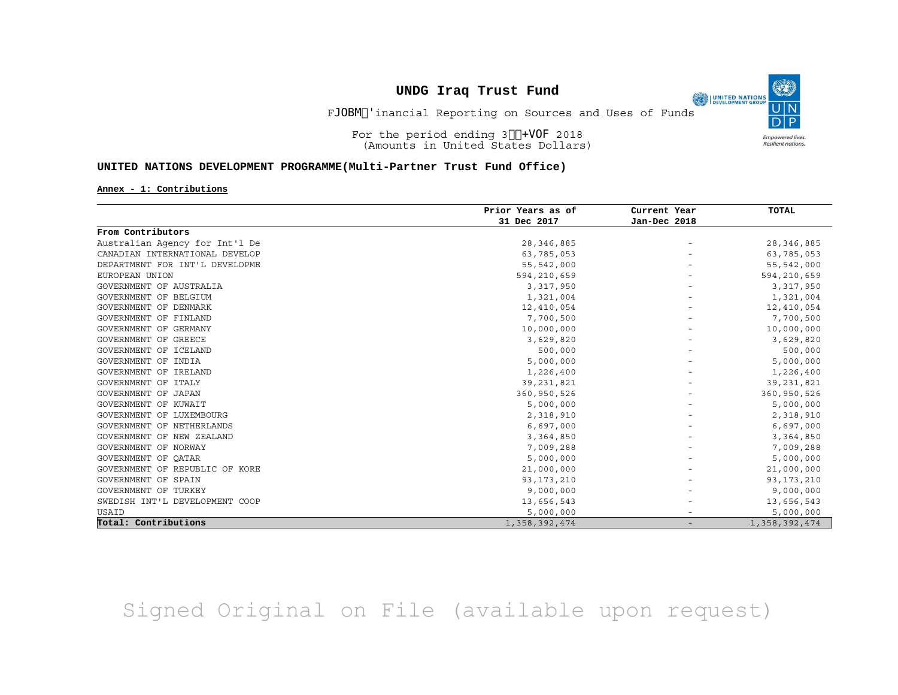Final Financial Reporting on Sources and Uses of Funds

(O

**Empowered lives** Resilient nations.

UNITED NATIONS

For the period ending 30 June 2018 (Amounts in United States Dollars)

#### **UNITED NATIONS DEVELOPMENT PROGRAMME(Multi-Partner Trust Fund Office)**

#### **Annex - 1: Contributions**

|                                | Prior Years as of | Current Year      | <b>TOTAL</b>  |
|--------------------------------|-------------------|-------------------|---------------|
|                                | 31 Dec 2017       | Jan-Dec 2018      |               |
| From Contributors              |                   |                   |               |
| Australian Agency for Int'l De | 28, 346, 885      |                   | 28, 346, 885  |
| CANADIAN INTERNATIONAL DEVELOP | 63,785,053        |                   | 63,785,053    |
| DEPARTMENT FOR INT'L DEVELOPME | 55,542,000        |                   | 55,542,000    |
| EUROPEAN UNION                 | 594,210,659       |                   | 594,210,659   |
| GOVERNMENT OF AUSTRALIA        | 3,317,950         |                   | 3,317,950     |
| GOVERNMENT OF BELGIUM          | 1,321,004         |                   | 1,321,004     |
| GOVERNMENT OF DENMARK          | 12,410,054        |                   | 12,410,054    |
| GOVERNMENT OF FINLAND          | 7,700,500         |                   | 7,700,500     |
| GOVERNMENT OF GERMANY          | 10,000,000        |                   | 10,000,000    |
| GOVERNMENT OF GREECE           | 3,629,820         |                   | 3,629,820     |
| GOVERNMENT OF ICELAND          | 500,000           |                   | 500,000       |
| GOVERNMENT OF INDIA            | 5,000,000         |                   | 5,000,000     |
| GOVERNMENT OF IRELAND          | 1,226,400         |                   | 1,226,400     |
| GOVERNMENT OF ITALY            | 39, 231, 821      |                   | 39, 231, 821  |
| GOVERNMENT OF JAPAN            | 360,950,526       |                   | 360,950,526   |
| GOVERNMENT OF KUWAIT           | 5,000,000         |                   | 5,000,000     |
| GOVERNMENT OF LUXEMBOURG       | 2,318,910         |                   | 2,318,910     |
| GOVERNMENT OF NETHERLANDS      | 6,697,000         |                   | 6,697,000     |
| GOVERNMENT OF NEW ZEALAND      | 3,364,850         |                   | 3,364,850     |
| GOVERNMENT OF NORWAY           | 7,009,288         |                   | 7,009,288     |
| GOVERNMENT OF OATAR            | 5,000,000         |                   | 5,000,000     |
| GOVERNMENT OF REPUBLIC OF KORE | 21,000,000        |                   | 21,000,000    |
| <b>GOVERNMENT OF SPAIN</b>     | 93, 173, 210      |                   | 93, 173, 210  |
| GOVERNMENT OF TURKEY           | 9,000,000         |                   | 9,000,000     |
| SWEDISH INT'L DEVELOPMENT COOP | 13,656,543        |                   | 13,656,543    |
| USAID                          | 5,000,000         |                   | 5,000,000     |
| Total: Contributions           | 1,358,392,474     | $\qquad \qquad -$ | 1,358,392,474 |

Signed Original on File (available upon request)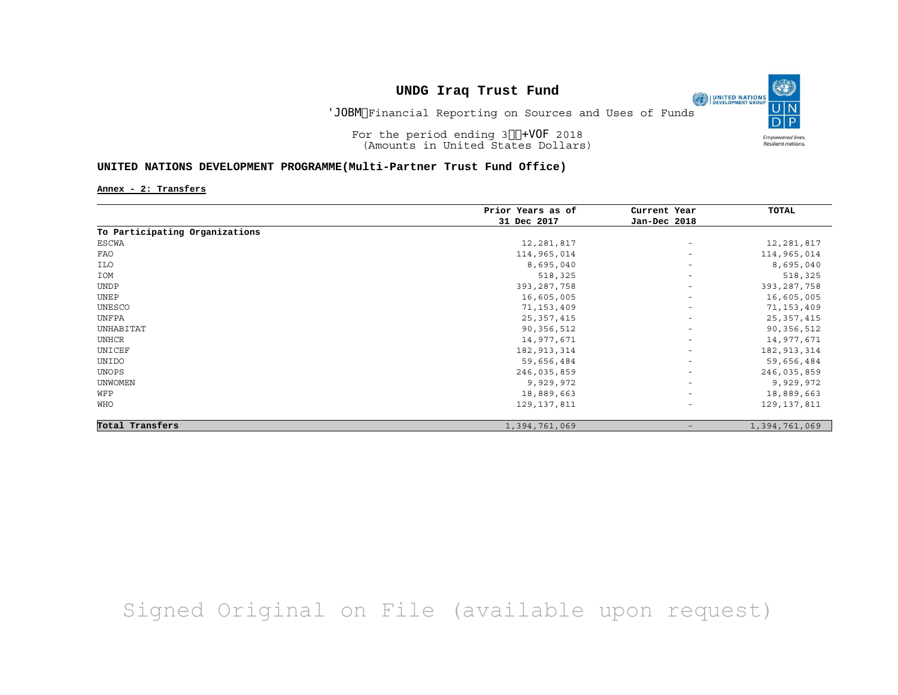Final Financial Reporting on Sources and Uses of Funds

(O)

**Empowered lives** Resilient nations.

UNITED NATIONS

For the period ending 30 June 2018 (Amounts in United States Dollars)

#### **UNITED NATIONS DEVELOPMENT PROGRAMME(Multi-Partner Trust Fund Office)**

**Annex - 2: Transfers**

|                                | Prior Years as of | Current Year             | TOTAL         |
|--------------------------------|-------------------|--------------------------|---------------|
|                                | 31 Dec 2017       | Jan-Dec 2018             |               |
| To Participating Organizations |                   |                          |               |
| ESCWA                          | 12,281,817        | $\overline{\phantom{a}}$ | 12,281,817    |
| FAO                            | 114,965,014       | $\overline{\phantom{a}}$ | 114,965,014   |
| ILO                            | 8,695,040         | $\overline{\phantom{a}}$ | 8,695,040     |
| IOM                            | 518,325           | $\overline{\phantom{a}}$ | 518,325       |
| <b>UNDP</b>                    | 393, 287, 758     | $\overline{\phantom{a}}$ | 393, 287, 758 |
| UNEP                           | 16,605,005        | $\overline{\phantom{a}}$ | 16,605,005    |
| UNESCO                         | 71,153,409        | $\overline{\phantom{a}}$ | 71, 153, 409  |
| UNFPA                          | 25, 357, 415      | $\overline{\phantom{a}}$ | 25, 357, 415  |
| UNHABITAT                      | 90,356,512        | $\overline{\phantom{a}}$ | 90,356,512    |
| UNHCR                          | 14,977,671        | $\overline{\phantom{a}}$ | 14,977,671    |
| UNICEF                         | 182, 913, 314     | $\overline{\phantom{a}}$ | 182, 913, 314 |
| UNIDO                          | 59,656,484        | $\overline{\phantom{a}}$ | 59,656,484    |
| UNOPS                          | 246,035,859       | $\overline{\phantom{a}}$ | 246,035,859   |
| <b>UNWOMEN</b>                 | 9,929,972         | $\overline{\phantom{a}}$ | 9,929,972     |
| WFP                            | 18,889,663        | $\overline{\phantom{a}}$ | 18,889,663    |
| WHO                            | 129,137,811       | $\overline{\phantom{a}}$ | 129, 137, 811 |
| Total Transfers                | 1,394,761,069     |                          | 1,394,761,069 |

# Signed Original on File (available upon request)